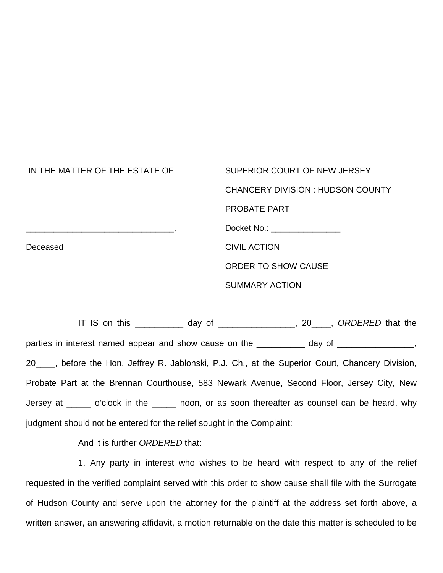| IN THE MATTER OF THE ESTATE OF | SUPERIOR COURT OF NEW JERSEY            |
|--------------------------------|-----------------------------------------|
|                                | <b>CHANCERY DIVISION: HUDSON COUNTY</b> |
|                                | <b>PROBATE PART</b>                     |
|                                | Docket No.: <u>________________</u>     |
| Deceased                       | <b>CIVIL ACTION</b>                     |
|                                | <b>ORDER TO SHOW CAUSE</b>              |
|                                | <b>SUMMARY ACTION</b>                   |

IT IS on this \_\_\_\_\_\_\_\_\_\_ day of \_\_\_\_\_\_\_\_\_\_\_\_\_\_\_\_, 20\_\_\_\_, *ORDERED* that the parties in interest named appear and show cause on the \_\_\_\_\_\_\_\_\_ day of \_\_\_\_\_\_\_\_\_\_\_\_\_\_, 20\_\_\_\_, before the Hon. Jeffrey R. Jablonski, P.J. Ch., at the Superior Court, Chancery Division, Probate Part at the Brennan Courthouse, 583 Newark Avenue, Second Floor, Jersey City, New Jersey at \_\_\_\_\_ o'clock in the \_\_\_\_\_\_ noon, or as soon thereafter as counsel can be heard, why judgment should not be entered for the relief sought in the Complaint:

And it is further *ORDERED* that:

1. Any party in interest who wishes to be heard with respect to any of the relief requested in the verified complaint served with this order to show cause shall file with the Surrogate of Hudson County and serve upon the attorney for the plaintiff at the address set forth above, a written answer, an answering affidavit, a motion returnable on the date this matter is scheduled to be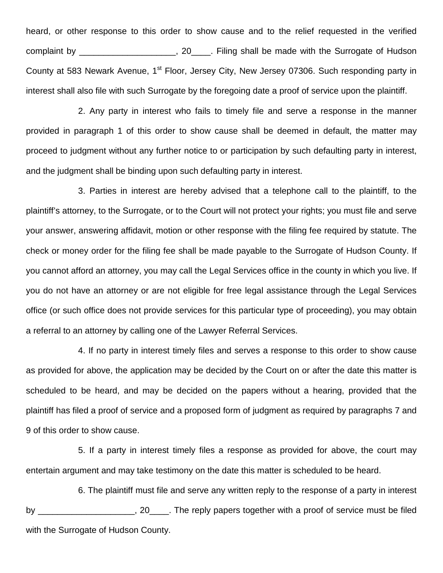heard, or other response to this order to show cause and to the relief requested in the verified complaint by \_\_\_\_\_\_\_\_\_\_\_\_\_\_\_\_\_\_\_\_\_, 20\_\_\_\_. Filing shall be made with the Surrogate of Hudson County at 583 Newark Avenue, 1<sup>st</sup> Floor, Jersey City, New Jersey 07306. Such responding party in interest shall also file with such Surrogate by the foregoing date a proof of service upon the plaintiff.

2. Any party in interest who fails to timely file and serve a response in the manner provided in paragraph 1 of this order to show cause shall be deemed in default, the matter may proceed to judgment without any further notice to or participation by such defaulting party in interest, and the judgment shall be binding upon such defaulting party in interest.

3. Parties in interest are hereby advised that a telephone call to the plaintiff, to the plaintiff's attorney, to the Surrogate, or to the Court will not protect your rights; you must file and serve your answer, answering affidavit, motion or other response with the filing fee required by statute. The check or money order for the filing fee shall be made payable to the Surrogate of Hudson County. If you cannot afford an attorney, you may call the Legal Services office in the county in which you live. If you do not have an attorney or are not eligible for free legal assistance through the Legal Services office (or such office does not provide services for this particular type of proceeding), you may obtain a referral to an attorney by calling one of the Lawyer Referral Services.

4. If no party in interest timely files and serves a response to this order to show cause as provided for above, the application may be decided by the Court on or after the date this matter is scheduled to be heard, and may be decided on the papers without a hearing, provided that the plaintiff has filed a proof of service and a proposed form of judgment as required by paragraphs 7 and 9 of this order to show cause.

5. If a party in interest timely files a response as provided for above, the court may entertain argument and may take testimony on the date this matter is scheduled to be heard.

6. The plaintiff must file and serve any written reply to the response of a party in interest by by the reply papers together with a proof of service must be filed with the Surrogate of Hudson County.